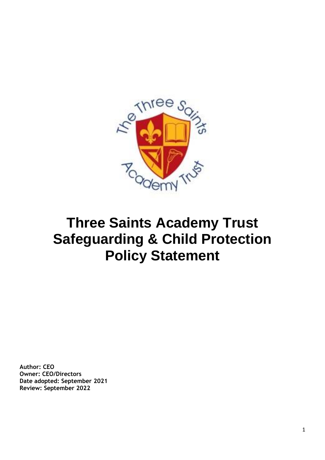

# **Three Saints Academy Trust Safeguarding & Child Protection Policy Statement**

**Author: CEO Owner: CEO/Directors Date adopted: September 2021 Review: September 2022**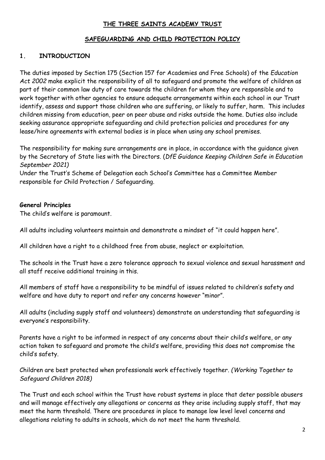#### **THE THREE SAINTS ACADEMY TRUST**

#### **SAFEGUARDING AND CHILD PROTECTION POLICY**

#### **1. INTRODUCTION**

The duties imposed by Section 175 (Section 157 for Academies and Free Schools) of the *Education Act 2002* make explicit the responsibility of all to safeguard and promote the welfare of children as part of their common law duty of care towards the children for whom they are responsible and to work together with other agencies to ensure adequate arrangements within each school in our Trust identify, assess and support those children who are suffering, or likely to suffer, harm. This includes children missing from education, peer on peer abuse and risks outside the home. Duties also include seeking assurance appropriate safeguarding and child protection policies and procedures for any lease/hire agreements with external bodies is in place when using any school premises.

The responsibility for making sure arrangements are in place, in accordance with the guidance given by the Secretary of State lies with the Directors. (*DfE Guidance Keeping Children Safe in Education September 2021)*

Under the Trust's Scheme of Delegation each School's Committee has a Committee Member responsible for Child Protection / Safeguarding.

#### **General Principles**

The child's welfare is paramount.

All adults including volunteers maintain and demonstrate a mindset of "it could happen here".

All children have a right to a childhood free from abuse, neglect or exploitation.

The schools in the Trust have a zero tolerance approach to sexual violence and sexual harassment and all staff receive additional training in this.

All members of staff have a responsibility to be mindful of issues related to children's safety and welfare and have duty to report and refer any concerns however "minor".

All adults (including supply staff and volunteers) demonstrate an understanding that safeguarding is everyone's responsibility.

Parents have a right to be informed in respect of any concerns about their child's welfare, or any action taken to safeguard and promote the child's welfare, providing this does not compromise the child's safety.

Children are best protected when professionals work effectively together. *(Working Together to Safeguard Children 2018)*

The Trust and each school within the Trust have robust systems in place that deter possible abusers and will manage effectively any allegations or concerns as they arise including supply staff, that may meet the harm threshold. There are procedures in place to manage low level level concerns and allegations relating to adults in schools, which do not meet the harm threshold.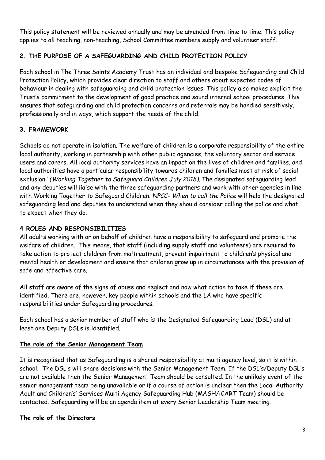This policy statement will be reviewed annually and may be amended from time to time. This policy applies to all teaching, non-teaching, School Committee members supply and volunteer staff.

## **2. THE PURPOSE OF A SAFEGUARDING AND CHILD PROTECTION POLICY**

Each school in The Three Saints Academy Trust has an individual and bespoke Safeguarding and Child Protection Policy, which provides clear direction to staff and others about expected codes of behaviour in dealing with safeguarding and child protection issues. This policy also makes explicit the Trust's commitment to the development of good practice and sound internal school procedures. This ensures that safeguarding and child protection concerns and referrals may be handled sensitively, professionally and in ways, which support the needs of the child.

# **3. FRAMEWORK**

Schools do not operate in isolation. The welfare of children is a corporate responsibility of the entire local authority, working in partnership with other public agencies, the voluntary sector and service users and carers. All local authority services have an impact on the lives of children and families, and local authorities have a particular responsibility towards children and families most at risk of social exclusion.' *(Working Together to Safeguard Children July 2018).* The designated safeguarding lead and any deputies will liaise with the three safeguarding partners and work with other agencies in line with Working Together to Safeguard Children. *NPCC- When to call the Police* will help the designated safeguarding lead and deputies to understand when they should consider calling the police and what to expect when they do.

## **4 ROLES AND RESPONSIBILITIES**

All adults working with or on behalf of children have a responsibility to safeguard and promote the welfare of children. This means, that staff (including supply staff and volunteers) are required to take action to protect children from maltreatment, prevent impairment to children's physical and mental health or development and ensure that children grow up in circumstances with the provision of safe and effective care.

All staff are aware of the signs of abuse and neglect and now what action to take if these are identified. There are, however, key people within schools and the LA who have specific responsibilities under Safeguarding procedures.

Each school has a senior member of staff who is the Designated Safeguarding Lead (DSL) and at least one Deputy DSLs is identified.

## **The role of the Senior Management Team**

It is recognised that as Safeguarding is a shared responsibility at multi agency level, so it is within school. The DSL's will share decisions with the Senior Management Team. If the DSL's/Deputy DSL's are not available then the Senior Management Team should be consulted. In the unlikely event of the senior management team being unavailable or if a course of action is unclear then the Local Authority Adult and Children's' Services Multi Agency Safeguarding Hub (MASH/iCART Team) should be contacted. Safeguarding will be an agenda item at every Senior Leadership Team meeting.

#### **The role of the Directors**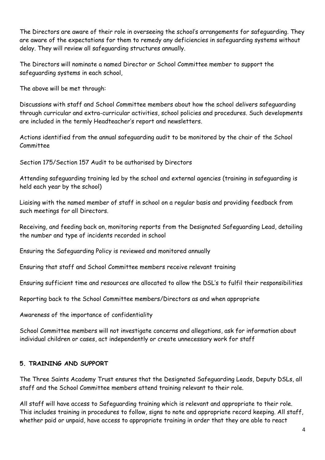The Directors are aware of their role in overseeing the school's arrangements for safeguarding. They are aware of the expectations for them to remedy any deficiencies in safeguarding systems without delay. They will review all safeguarding structures annually.

The Directors will nominate a named Director or School Committee member to support the safeguarding systems in each school,

The above will be met through:

Discussions with staff and School Committee members about how the school delivers safeguarding through curricular and extra-curricular activities, school policies and procedures. Such developments are included in the termly Headteacher's report and newsletters.

Actions identified from the annual safeguarding audit to be monitored by the chair of the School Committee

Section 175/Section 157 Audit to be authorised by Directors

Attending safeguarding training led by the school and external agencies (training in safeguarding is held each year by the school)

Liaising with the named member of staff in school on a regular basis and providing feedback from such meetings for all Directors.

Receiving, and feeding back on, monitoring reports from the Designated Safeguarding Lead, detailing the number and type of incidents recorded in school

Ensuring the Safeguarding Policy is reviewed and monitored annually

Ensuring that staff and School Committee members receive relevant training

Ensuring sufficient time and resources are allocated to allow the DSL's to fulfil their responsibilities

Reporting back to the School Committee members/Directors as and when appropriate

Awareness of the importance of confidentiality

School Committee members will not investigate concerns and allegations, ask for information about individual children or cases, act independently or create unnecessary work for staff

# **5. TRAINING AND SUPPORT**

The Three Saints Academy Trust ensures that the Designated Safeguarding Leads, Deputy DSLs, all staff and the School Committee members attend training relevant to their role.

All staff will have access to Safeguarding training which is relevant and appropriate to their role. This includes training in procedures to follow, signs to note and appropriate record keeping. All staff, whether paid or unpaid, have access to appropriate training in order that they are able to react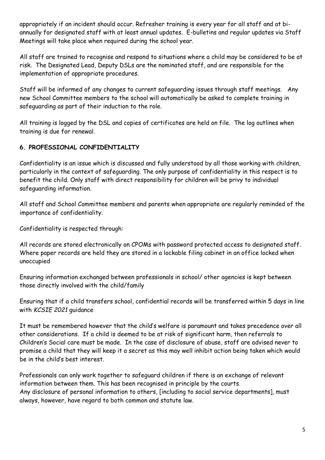appropriately if an incident should occur. Refresher training is every year for all staff and at biannually for designated staff with at least annual updates. E-bulletins and regular updates via Staff Meetings will take place when required during the school year.

All staff are trained to recognise and respond to situations where a child may be considered to be at risk. The Designated Lead, Deputy DSLs are the nominated staff, and are responsible for the implementation of appropriate procedures.

Staff will be informed of any changes to current safeguarding issues through staff meetings. Any new School Committee members to the school will automatically be asked to complete training in safeguarding as part of their induction to the role.

All training is logged by the DSL and copies of certificates are held on file. The log outlines when training is due for renewal.

# **6. PROFESSIONAL CONFIDENTIALITY**

Confidentiality is an issue which is discussed and fully understood by all those working with children, particularly in the context of safeguarding. The only purpose of confidentiality in this respect is to benefit the child. Only staff with direct responsibility for children will be privy to individual safeguarding information.

All staff and School Committee members and parents when appropriate are regularly reminded of the importance of confidentiality.

Confidentiality is respected through:

All records are stored electronically on CPOMs with password protected access to designated staff. Where paper records are held they are stored in a lockable filing cabinet in an office locked when unoccupied

Ensuring information exchanged between professionals in school/ other agencies is kept between those directly involved with the child/family

Ensuring that if a child transfers school, confidential records will be transferred within 5 days in line with *KCSIE 2021* guidance

It must be remembered however that the child's welfare is paramount and takes precedence over all other considerations. If a child is deemed to be at risk of significant harm, then referrals to Children's Social care must be made. In the case of disclosure of abuse, staff are advised never to promise a child that they will keep it a secret as this may well inhibit action being taken which would be in the child's best interest.

Professionals can only work together to safeguard children if there is an exchange of relevant information between them. This has been recognised in principle by the courts. Any disclosure of personal information to others, [including to social service departments], must always, however, have regard to both common and statute law.